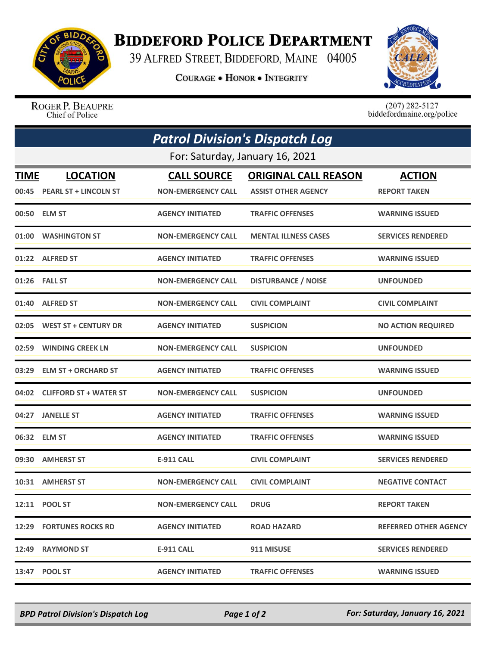

## **BIDDEFORD POLICE DEPARTMENT**

39 ALFRED STREET, BIDDEFORD, MAINE 04005

**COURAGE . HONOR . INTEGRITY** 



ROGER P. BEAUPRE Chief of Police

 $(207)$  282-5127<br>biddefordmaine.org/police

| <b>Patrol Division's Dispatch Log</b> |                               |                           |                             |                              |  |  |
|---------------------------------------|-------------------------------|---------------------------|-----------------------------|------------------------------|--|--|
| For: Saturday, January 16, 2021       |                               |                           |                             |                              |  |  |
| <b>TIME</b>                           | <b>LOCATION</b>               | <b>CALL SOURCE</b>        | <b>ORIGINAL CALL REASON</b> | <b>ACTION</b>                |  |  |
|                                       | 00:45 PEARL ST + LINCOLN ST   | <b>NON-EMERGENCY CALL</b> | <b>ASSIST OTHER AGENCY</b>  | <b>REPORT TAKEN</b>          |  |  |
|                                       | 00:50 ELM ST                  | <b>AGENCY INITIATED</b>   | <b>TRAFFIC OFFENSES</b>     | <b>WARNING ISSUED</b>        |  |  |
| 01:00                                 | <b>WASHINGTON ST</b>          | <b>NON-EMERGENCY CALL</b> | <b>MENTAL ILLNESS CASES</b> | <b>SERVICES RENDERED</b>     |  |  |
|                                       | 01:22 ALFRED ST               | <b>AGENCY INITIATED</b>   | <b>TRAFFIC OFFENSES</b>     | <b>WARNING ISSUED</b>        |  |  |
|                                       | 01:26 FALL ST                 | <b>NON-EMERGENCY CALL</b> | <b>DISTURBANCE / NOISE</b>  | <b>UNFOUNDED</b>             |  |  |
| 01:40                                 | <b>ALFRED ST</b>              | <b>NON-EMERGENCY CALL</b> | <b>CIVIL COMPLAINT</b>      | <b>CIVIL COMPLAINT</b>       |  |  |
| 02:05                                 | <b>WEST ST + CENTURY DR</b>   | <b>AGENCY INITIATED</b>   | <b>SUSPICION</b>            | <b>NO ACTION REQUIRED</b>    |  |  |
|                                       | 02:59 WINDING CREEK LN        | <b>NON-EMERGENCY CALL</b> | <b>SUSPICION</b>            | <b>UNFOUNDED</b>             |  |  |
| 03:29                                 | <b>ELM ST + ORCHARD ST</b>    | <b>AGENCY INITIATED</b>   | <b>TRAFFIC OFFENSES</b>     | <b>WARNING ISSUED</b>        |  |  |
| 04:02                                 | <b>CLIFFORD ST + WATER ST</b> | <b>NON-EMERGENCY CALL</b> | <b>SUSPICION</b>            | <b>UNFOUNDED</b>             |  |  |
| 04:27                                 | <b>JANELLE ST</b>             | <b>AGENCY INITIATED</b>   | <b>TRAFFIC OFFENSES</b>     | <b>WARNING ISSUED</b>        |  |  |
|                                       | 06:32 ELM ST                  | <b>AGENCY INITIATED</b>   | <b>TRAFFIC OFFENSES</b>     | <b>WARNING ISSUED</b>        |  |  |
| 09:30                                 | <b>AMHERST ST</b>             | <b>E-911 CALL</b>         | <b>CIVIL COMPLAINT</b>      | <b>SERVICES RENDERED</b>     |  |  |
|                                       | 10:31 AMHERST ST              | <b>NON-EMERGENCY CALL</b> | <b>CIVIL COMPLAINT</b>      | <b>NEGATIVE CONTACT</b>      |  |  |
|                                       | 12:11 POOL ST                 | <b>NON-EMERGENCY CALL</b> | <b>DRUG</b>                 | <b>REPORT TAKEN</b>          |  |  |
|                                       | 12:29 FORTUNES ROCKS RD       | <b>AGENCY INITIATED</b>   | <b>ROAD HAZARD</b>          | <b>REFERRED OTHER AGENCY</b> |  |  |
|                                       | 12:49 RAYMOND ST              | <b>E-911 CALL</b>         | 911 MISUSE                  | <b>SERVICES RENDERED</b>     |  |  |
|                                       | 13:47 POOL ST                 | <b>AGENCY INITIATED</b>   | <b>TRAFFIC OFFENSES</b>     | <b>WARNING ISSUED</b>        |  |  |